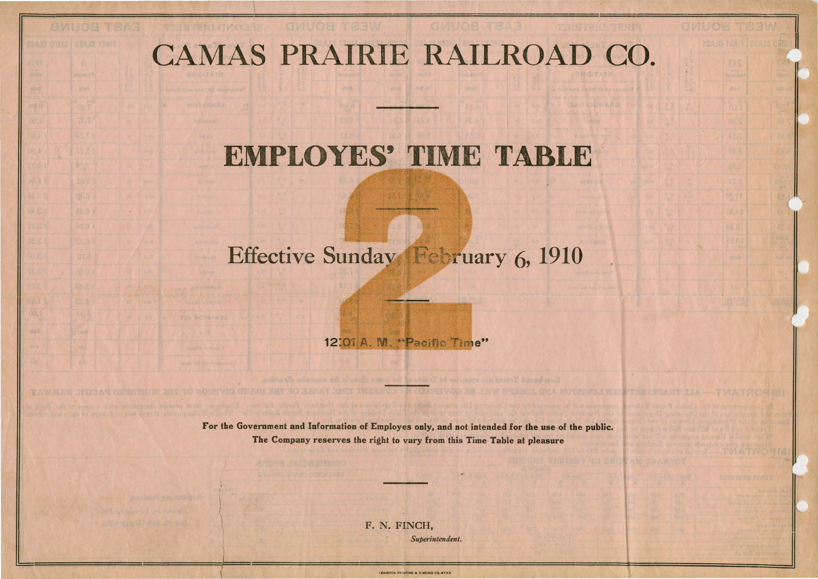## CAMAS PRAIRIE RAILROAD CO.

## **EMPLOYES'** TIME **TABLE** .

## Effective Sunday February 6, 1910

12:01 A. M. "Pacific Time"

For the Government and Information of Employes only, and not intended for the use of the public. The Company reserves the right to vary from this Time Table at pleasure

> F. N. FINCH, *Superintendent.*

> > LEWISTON PRINTING & BINDING CO.476

, 11

 $\vert$ 

L MOTEIW3